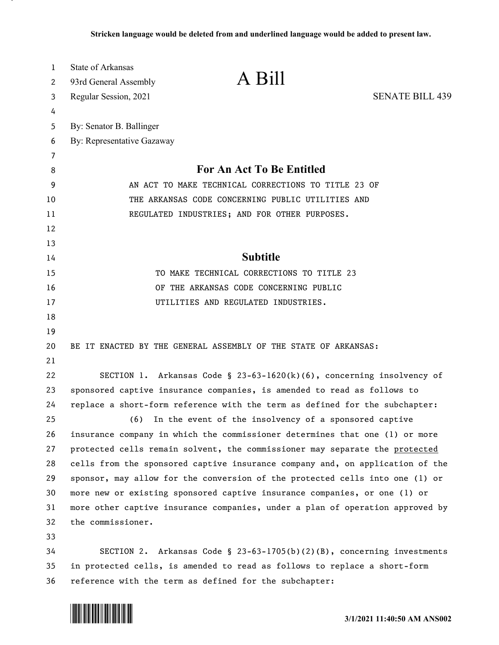| 1      | State of Arkansas                                                             | A Bill                                                                        |                        |
|--------|-------------------------------------------------------------------------------|-------------------------------------------------------------------------------|------------------------|
| 2      | 93rd General Assembly                                                         |                                                                               |                        |
| 3      | Regular Session, 2021                                                         |                                                                               | <b>SENATE BILL 439</b> |
| 4      |                                                                               |                                                                               |                        |
| 5      | By: Senator B. Ballinger                                                      |                                                                               |                        |
| 6      | By: Representative Gazaway                                                    |                                                                               |                        |
| 7<br>8 |                                                                               | For An Act To Be Entitled                                                     |                        |
| 9      | AN ACT TO MAKE TECHNICAL CORRECTIONS TO TITLE 23 OF                           |                                                                               |                        |
| 10     | THE ARKANSAS CODE CONCERNING PUBLIC UTILITIES AND                             |                                                                               |                        |
| 11     | REGULATED INDUSTRIES; AND FOR OTHER PURPOSES.                                 |                                                                               |                        |
| 12     |                                                                               |                                                                               |                        |
| 13     |                                                                               |                                                                               |                        |
| 14     |                                                                               | <b>Subtitle</b>                                                               |                        |
| 15     | TO MAKE TECHNICAL CORRECTIONS TO TITLE 23                                     |                                                                               |                        |
| 16     | OF THE ARKANSAS CODE CONCERNING PUBLIC                                        |                                                                               |                        |
| 17     |                                                                               | UTILITIES AND REGULATED INDUSTRIES.                                           |                        |
| 18     |                                                                               |                                                                               |                        |
| 19     |                                                                               |                                                                               |                        |
| 20     |                                                                               | BE IT ENACTED BY THE GENERAL ASSEMBLY OF THE STATE OF ARKANSAS:               |                        |
| 21     |                                                                               |                                                                               |                        |
| 22     |                                                                               | SECTION 1. Arkansas Code § 23-63-1620(k)(6), concerning insolvency of         |                        |
| 23     | sponsored captive insurance companies, is amended to read as follows to       |                                                                               |                        |
| 24     | replace a short-form reference with the term as defined for the subchapter:   |                                                                               |                        |
| 25     | (6)                                                                           | In the event of the insolvency of a sponsored captive                         |                        |
| 26     |                                                                               | insurance company in which the commissioner determines that one (1) or more   |                        |
| 27     |                                                                               | protected cells remain solvent, the commissioner may separate the protected   |                        |
| 28     |                                                                               | cells from the sponsored captive insurance company and, on application of the |                        |
| 29     |                                                                               | sponsor, may allow for the conversion of the protected cells into one (1) or  |                        |
| 30     |                                                                               | more new or existing sponsored captive insurance companies, or one (1) or     |                        |
| 31     | more other captive insurance companies, under a plan of operation approved by |                                                                               |                        |
| 32     | the commissioner.                                                             |                                                                               |                        |
| 33     |                                                                               |                                                                               |                        |
| 34     |                                                                               | SECTION 2. Arkansas Code § 23-63-1705(b)(2)(B), concerning investments        |                        |
| 35     | in protected cells, is amended to read as follows to replace a short-form     |                                                                               |                        |
| 36     |                                                                               | reference with the term as defined for the subchapter:                        |                        |

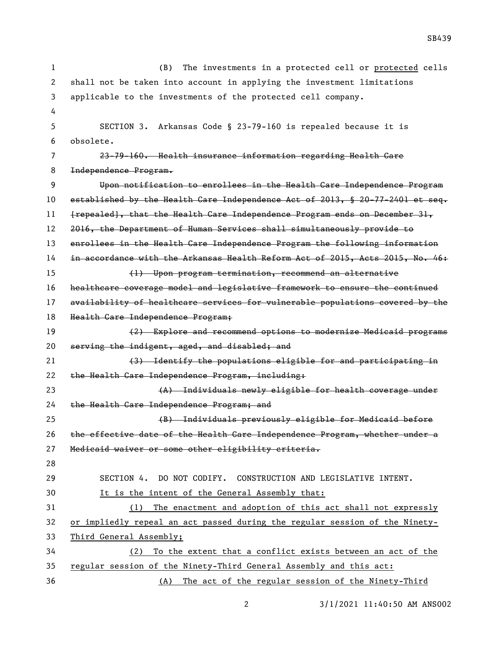(B) The investments in a protected cell or protected cells shall not be taken into account in applying the investment limitations applicable to the investments of the protected cell company. SECTION 3. Arkansas Code § 23-79-160 is repealed because it is obsolete. 23-79-160. Health insurance information regarding Health Care Independence Program. Upon notification to enrollees in the Health Care Independence Program established by the Health Care Independence Act of 2013, § 20-77-2401 et seq. 11 [repealed], that the Health Care Independence Program ends on December 31, 2016, the Department of Human Services shall simultaneously provide to 13 enrollees in the Health Care Independence Program the following information in accordance with the Arkansas Health Reform Act of 2015, Acts 2015, No. 46: (1) Upon program termination, recommend an alternative healthcare coverage model and legislative framework to ensure the continued availability of healthcare services for vulnerable populations covered by the Health Care Independence Program; (2) Explore and recommend options to modernize Medicaid programs 20 serving the indigent, aged, and disabled; and (3) Identify the populations eligible for and participating in 22 the Health Care Independence Program, including: (A) Individuals newly eligible for health coverage under the Health Care Independence Program; and (B) Individuals previously eligible for Medicaid before the effective date of the Health Care Independence Program, whether under a Medicaid waiver or some other eligibility criteria. SECTION 4. DO NOT CODIFY. CONSTRUCTION AND LEGISLATIVE INTENT. It is the intent of the General Assembly that: (1) The enactment and adoption of this act shall not expressly or impliedly repeal an act passed during the regular session of the Ninety- Third General Assembly; (2) To the extent that a conflict exists between an act of the regular session of the Ninety-Third General Assembly and this act: (A) The act of the regular session of the Ninety-Third

3/1/2021 11:40:50 AM ANS002

SB439